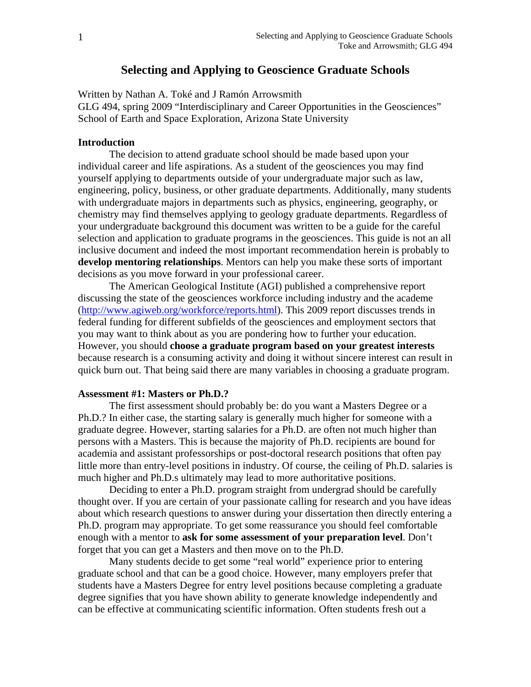# **Selecting and Applying to Geoscience Graduate Schools**

Written by Nathan A. Toké and J Ramón Arrowsmith

GLG 494, spring 2009 "Interdisciplinary and Career Opportunities in the Geosciences" School of Earth and Space Exploration, Arizona State University

## **Introduction**

 The decision to attend graduate school should be made based upon your individual career and life aspirations. As a student of the geosciences you may find yourself applying to departments outside of your undergraduate major such as law, engineering, policy, business, or other graduate departments. Additionally, many students with undergraduate majors in departments such as physics, engineering, geography, or chemistry may find themselves applying to geology graduate departments. Regardless of your undergraduate background this document was written to be a guide for the careful selection and application to graduate programs in the geosciences. This guide is not an all inclusive document and indeed the most important recommendation herein is probably to **develop mentoring relationships**. Mentors can help you make these sorts of important decisions as you move forward in your professional career.

 The American Geological Institute (AGI) published a comprehensive report discussing the state of the geosciences workforce including industry and the academe (http://www.agiweb.org/workforce/reports.html). This 2009 report discusses trends in federal funding for different subfields of the geosciences and employment sectors that you may want to think about as you are pondering how to further your education. However, you should **choose a graduate program based on your greatest interests** because research is a consuming activity and doing it without sincere interest can result in quick burn out. That being said there are many variables in choosing a graduate program.

#### **Assessment #1: Masters or Ph.D.?**

 The first assessment should probably be: do you want a Masters Degree or a Ph.D.? In either case, the starting salary is generally much higher for someone with a graduate degree. However, starting salaries for a Ph.D. are often not much higher than persons with a Masters. This is because the majority of Ph.D. recipients are bound for academia and assistant professorships or post-doctoral research positions that often pay little more than entry-level positions in industry. Of course, the ceiling of Ph.D. salaries is much higher and Ph.D.s ultimately may lead to more authoritative positions.

 Deciding to enter a Ph.D. program straight from undergrad should be carefully thought over. If you are certain of your passionate calling for research and you have ideas about which research questions to answer during your dissertation then directly entering a Ph.D. program may appropriate. To get some reassurance you should feel comfortable enough with a mentor to **ask for some assessment of your preparation level**. Don't forget that you can get a Masters and then move on to the Ph.D.

 Many students decide to get some "real world" experience prior to entering graduate school and that can be a good choice. However, many employers prefer that students have a Masters Degree for entry level positions because completing a graduate degree signifies that you have shown ability to generate knowledge independently and can be effective at communicating scientific information. Often students fresh out a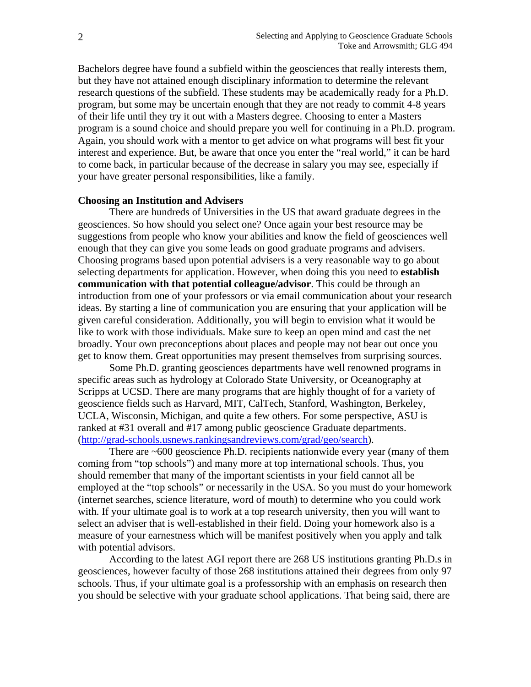Bachelors degree have found a subfield within the geosciences that really interests them, but they have not attained enough disciplinary information to determine the relevant research questions of the subfield. These students may be academically ready for a Ph.D. program, but some may be uncertain enough that they are not ready to commit 4-8 years of their life until they try it out with a Masters degree. Choosing to enter a Masters program is a sound choice and should prepare you well for continuing in a Ph.D. program. Again, you should work with a mentor to get advice on what programs will best fit your interest and experience. But, be aware that once you enter the "real world," it can be hard to come back, in particular because of the decrease in salary you may see, especially if your have greater personal responsibilities, like a family.

## **Choosing an Institution and Advisers**

 There are hundreds of Universities in the US that award graduate degrees in the geosciences. So how should you select one? Once again your best resource may be suggestions from people who know your abilities and know the field of geosciences well enough that they can give you some leads on good graduate programs and advisers. Choosing programs based upon potential advisers is a very reasonable way to go about selecting departments for application. However, when doing this you need to **establish communication with that potential colleague/advisor**. This could be through an introduction from one of your professors or via email communication about your research ideas. By starting a line of communication you are ensuring that your application will be given careful consideration. Additionally, you will begin to envision what it would be like to work with those individuals. Make sure to keep an open mind and cast the net broadly. Your own preconceptions about places and people may not bear out once you get to know them. Great opportunities may present themselves from surprising sources.

 Some Ph.D. granting geosciences departments have well renowned programs in specific areas such as hydrology at Colorado State University, or Oceanography at Scripps at UCSD. There are many programs that are highly thought of for a variety of geoscience fields such as Harvard, MIT, CalTech, Stanford, Washington, Berkeley, UCLA, Wisconsin, Michigan, and quite a few others. For some perspective, ASU is ranked at #31 overall and #17 among public geoscience Graduate departments. (http://grad-schools.usnews.rankingsandreviews.com/grad/geo/search).

 There are ~600 geoscience Ph.D. recipients nationwide every year (many of them coming from "top schools") and many more at top international schools. Thus, you should remember that many of the important scientists in your field cannot all be employed at the "top schools" or necessarily in the USA. So you must do your homework (internet searches, science literature, word of mouth) to determine who you could work with. If your ultimate goal is to work at a top research university, then you will want to select an adviser that is well-established in their field. Doing your homework also is a measure of your earnestness which will be manifest positively when you apply and talk with potential advisors.

 According to the latest AGI report there are 268 US institutions granting Ph.D.s in geosciences, however faculty of those 268 institutions attained their degrees from only 97 schools. Thus, if your ultimate goal is a professorship with an emphasis on research then you should be selective with your graduate school applications. That being said, there are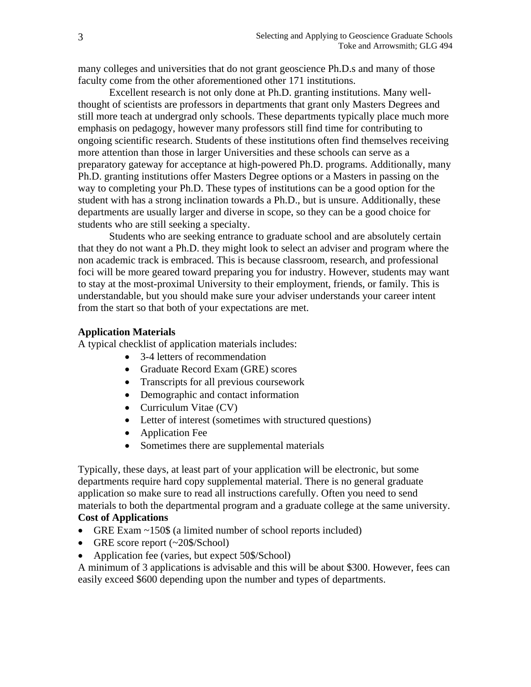many colleges and universities that do not grant geoscience Ph.D.s and many of those faculty come from the other aforementioned other 171 institutions.

 Excellent research is not only done at Ph.D. granting institutions. Many wellthought of scientists are professors in departments that grant only Masters Degrees and still more teach at undergrad only schools. These departments typically place much more emphasis on pedagogy, however many professors still find time for contributing to ongoing scientific research. Students of these institutions often find themselves receiving more attention than those in larger Universities and these schools can serve as a preparatory gateway for acceptance at high-powered Ph.D. programs. Additionally, many Ph.D. granting institutions offer Masters Degree options or a Masters in passing on the way to completing your Ph.D. These types of institutions can be a good option for the student with has a strong inclination towards a Ph.D., but is unsure. Additionally, these departments are usually larger and diverse in scope, so they can be a good choice for students who are still seeking a specialty.

 Students who are seeking entrance to graduate school and are absolutely certain that they do not want a Ph.D. they might look to select an adviser and program where the non academic track is embraced. This is because classroom, research, and professional foci will be more geared toward preparing you for industry. However, students may want to stay at the most-proximal University to their employment, friends, or family. This is understandable, but you should make sure your adviser understands your career intent from the start so that both of your expectations are met.

#### **Application Materials**

A typical checklist of application materials includes:

- 3-4 letters of recommendation
- Graduate Record Exam (GRE) scores
- Transcripts for all previous coursework
- Demographic and contact information
- Curriculum Vitae (CV)
- Letter of interest (sometimes with structured questions)
- Application Fee
- Sometimes there are supplemental materials

Typically, these days, at least part of your application will be electronic, but some departments require hard copy supplemental material. There is no general graduate application so make sure to read all instructions carefully. Often you need to send materials to both the departmental program and a graduate college at the same university. **Cost of Applications** 

- GRE Exam ~150\$ (a limited number of school reports included)
- GRE score report (~20\$/School)
- Application fee (varies, but expect 50\$/School)

A minimum of 3 applications is advisable and this will be about \$300. However, fees can easily exceed \$600 depending upon the number and types of departments.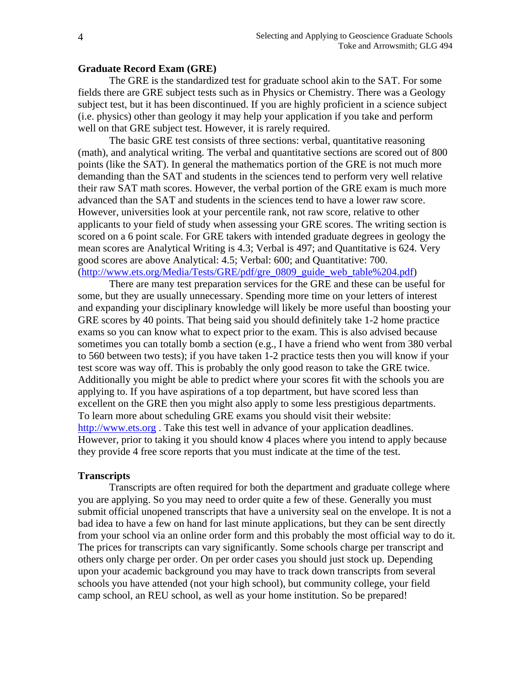#### **Graduate Record Exam (GRE)**

 The GRE is the standardized test for graduate school akin to the SAT. For some fields there are GRE subject tests such as in Physics or Chemistry. There was a Geology subject test, but it has been discontinued. If you are highly proficient in a science subject (i.e. physics) other than geology it may help your application if you take and perform well on that GRE subject test. However, it is rarely required.

 The basic GRE test consists of three sections: verbal, quantitative reasoning (math), and analytical writing. The verbal and quantitative sections are scored out of 800 points (like the SAT). In general the mathematics portion of the GRE is not much more demanding than the SAT and students in the sciences tend to perform very well relative their raw SAT math scores. However, the verbal portion of the GRE exam is much more advanced than the SAT and students in the sciences tend to have a lower raw score. However, universities look at your percentile rank, not raw score, relative to other applicants to your field of study when assessing your GRE scores. The writing section is scored on a 6 point scale. For GRE takers with intended graduate degrees in geology the mean scores are Analytical Writing is 4.3; Verbal is 497; and Quantitative is 624. Very good scores are above Analytical: 4.5; Verbal: 600; and Quantitative: 700. (http://www.ets.org/Media/Tests/GRE/pdf/gre\_0809\_guide\_web\_table%204.pdf)

 There are many test preparation services for the GRE and these can be useful for some, but they are usually unnecessary. Spending more time on your letters of interest and expanding your disciplinary knowledge will likely be more useful than boosting your GRE scores by 40 points. That being said you should definitely take 1-2 home practice exams so you can know what to expect prior to the exam. This is also advised because sometimes you can totally bomb a section (e.g., I have a friend who went from 380 verbal to 560 between two tests); if you have taken 1-2 practice tests then you will know if your test score was way off. This is probably the only good reason to take the GRE twice. Additionally you might be able to predict where your scores fit with the schools you are applying to. If you have aspirations of a top department, but have scored less than excellent on the GRE then you might also apply to some less prestigious departments. To learn more about scheduling GRE exams you should visit their website: http://www.ets.org. Take this test well in advance of your application deadlines. However, prior to taking it you should know 4 places where you intend to apply because they provide 4 free score reports that you must indicate at the time of the test.

## **Transcripts**

Transcripts are often required for both the department and graduate college where you are applying. So you may need to order quite a few of these. Generally you must submit official unopened transcripts that have a university seal on the envelope. It is not a bad idea to have a few on hand for last minute applications, but they can be sent directly from your school via an online order form and this probably the most official way to do it. The prices for transcripts can vary significantly. Some schools charge per transcript and others only charge per order. On per order cases you should just stock up. Depending upon your academic background you may have to track down transcripts from several schools you have attended (not your high school), but community college, your field camp school, an REU school, as well as your home institution. So be prepared!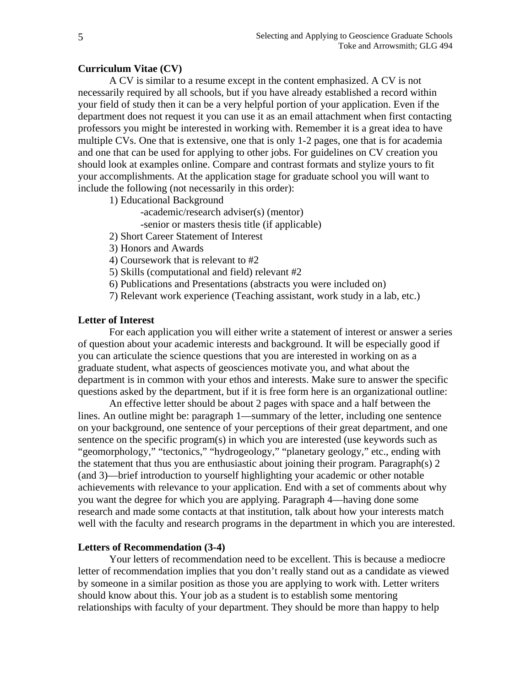## **Curriculum Vitae (CV)**

A CV is similar to a resume except in the content emphasized. A CV is not necessarily required by all schools, but if you have already established a record within your field of study then it can be a very helpful portion of your application. Even if the department does not request it you can use it as an email attachment when first contacting professors you might be interested in working with. Remember it is a great idea to have multiple CVs. One that is extensive, one that is only 1-2 pages, one that is for academia and one that can be used for applying to other jobs. For guidelines on CV creation you should look at examples online. Compare and contrast formats and stylize yours to fit your accomplishments. At the application stage for graduate school you will want to include the following (not necessarily in this order):

1) Educational Background

-academic/research adviser(s) (mentor)

-senior or masters thesis title (if applicable)

- 2) Short Career Statement of Interest
- 3) Honors and Awards

4) Coursework that is relevant to #2

5) Skills (computational and field) relevant #2

6) Publications and Presentations (abstracts you were included on)

7) Relevant work experience (Teaching assistant, work study in a lab, etc.)

# **Letter of Interest**

For each application you will either write a statement of interest or answer a series of question about your academic interests and background. It will be especially good if you can articulate the science questions that you are interested in working on as a graduate student, what aspects of geosciences motivate you, and what about the department is in common with your ethos and interests. Make sure to answer the specific questions asked by the department, but if it is free form here is an organizational outline:

 An effective letter should be about 2 pages with space and a half between the lines. An outline might be: paragraph 1—summary of the letter, including one sentence on your background, one sentence of your perceptions of their great department, and one sentence on the specific program(s) in which you are interested (use keywords such as "geomorphology," "tectonics," "hydrogeology," "planetary geology," etc., ending with the statement that thus you are enthusiastic about joining their program. Paragraph(s) 2 (and 3)—brief introduction to yourself highlighting your academic or other notable achievements with relevance to your application. End with a set of comments about why you want the degree for which you are applying. Paragraph 4—having done some research and made some contacts at that institution, talk about how your interests match well with the faculty and research programs in the department in which you are interested.

#### **Letters of Recommendation (3-4)**

 Your letters of recommendation need to be excellent. This is because a mediocre letter of recommendation implies that you don't really stand out as a candidate as viewed by someone in a similar position as those you are applying to work with. Letter writers should know about this. Your job as a student is to establish some mentoring relationships with faculty of your department. They should be more than happy to help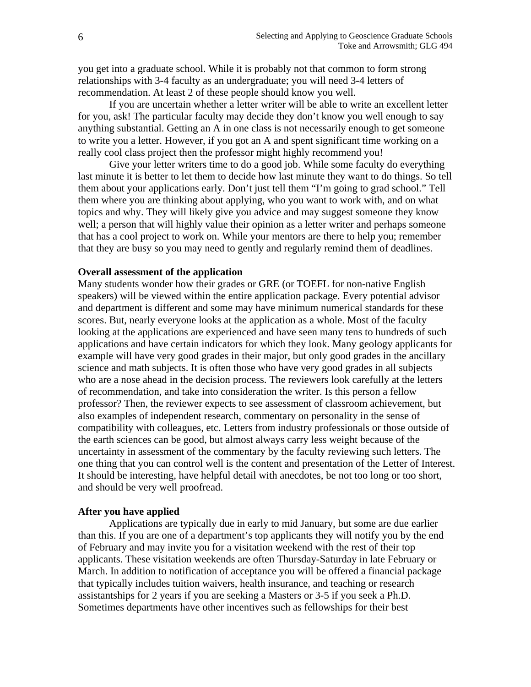you get into a graduate school. While it is probably not that common to form strong relationships with 3-4 faculty as an undergraduate; you will need 3-4 letters of recommendation. At least 2 of these people should know you well.

 If you are uncertain whether a letter writer will be able to write an excellent letter for you, ask! The particular faculty may decide they don't know you well enough to say anything substantial. Getting an A in one class is not necessarily enough to get someone to write you a letter. However, if you got an A and spent significant time working on a really cool class project then the professor might highly recommend you!

 Give your letter writers time to do a good job. While some faculty do everything last minute it is better to let them to decide how last minute they want to do things. So tell them about your applications early. Don't just tell them "I'm going to grad school." Tell them where you are thinking about applying, who you want to work with, and on what topics and why. They will likely give you advice and may suggest someone they know well; a person that will highly value their opinion as a letter writer and perhaps someone that has a cool project to work on. While your mentors are there to help you; remember that they are busy so you may need to gently and regularly remind them of deadlines.

## **Overall assessment of the application**

Many students wonder how their grades or GRE (or TOEFL for non-native English speakers) will be viewed within the entire application package. Every potential advisor and department is different and some may have minimum numerical standards for these scores. But, nearly everyone looks at the application as a whole. Most of the faculty looking at the applications are experienced and have seen many tens to hundreds of such applications and have certain indicators for which they look. Many geology applicants for example will have very good grades in their major, but only good grades in the ancillary science and math subjects. It is often those who have very good grades in all subjects who are a nose ahead in the decision process. The reviewers look carefully at the letters of recommendation, and take into consideration the writer. Is this person a fellow professor? Then, the reviewer expects to see assessment of classroom achievement, but also examples of independent research, commentary on personality in the sense of compatibility with colleagues, etc. Letters from industry professionals or those outside of the earth sciences can be good, but almost always carry less weight because of the uncertainty in assessment of the commentary by the faculty reviewing such letters. The one thing that you can control well is the content and presentation of the Letter of Interest. It should be interesting, have helpful detail with anecdotes, be not too long or too short, and should be very well proofread.

#### **After you have applied**

 Applications are typically due in early to mid January, but some are due earlier than this. If you are one of a department's top applicants they will notify you by the end of February and may invite you for a visitation weekend with the rest of their top applicants. These visitation weekends are often Thursday-Saturday in late February or March. In addition to notification of acceptance you will be offered a financial package that typically includes tuition waivers, health insurance, and teaching or research assistantships for 2 years if you are seeking a Masters or 3-5 if you seek a Ph.D. Sometimes departments have other incentives such as fellowships for their best